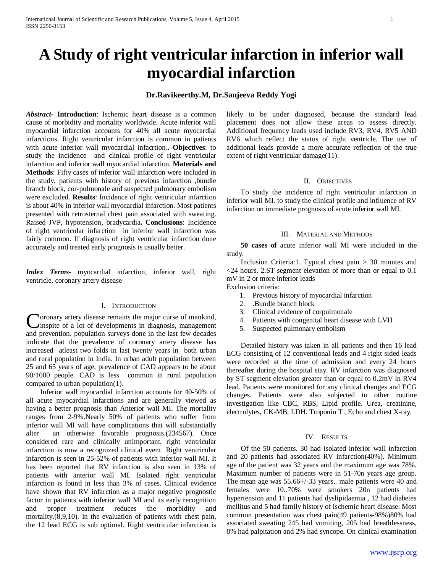# **A Study of right ventricular infarction in inferior wall myocardial infarction**

# **Dr.Ravikeerthy.M, Dr.Sanjeeva Reddy Yogi**

*Abstract***- Introduction**: Ischemic heart disease is a common cause of morbidity and mortality worldwide. Acute inferior wall myocardial infarction accounts for 40% all acute myocardial infarctions. Right ventricular infarction is common in patients with acute inferior wall myocardial infacrtion.**. Objectives**: to study the incidence and clinical profile of right ventricular infarction and inferior wall myocardial infarction. **Materials and Methods**: Fifty cases of inferior wall infarction were included in the study. patients with history of previous infarction ,bundle branch block, cor-pulmonale and suspected pulmonary embolism were excluded. **Results**: Incidence of right ventricular infarction is about 40% in inferior wall myocardial infarction. Most patients presented with retrosternal chest pain associated with sweating. Raised JVP, hypotension, bradycardia**. Conclusions**: Incidence of right ventricular infarction in inferior wall infarction was fairly common. If diagnosis of right ventricular infarction done accurately and treated early prognosis is usually better.

*Index Terms*- myocardial infarction, inferior wall, right ventricle, coronary artery disease

# I. INTRODUCTION

oronary artery disease remains the major curse of mankind, inspite of a lot of developments in diagnosis, management **C**oronary artery disease remains the major curse of mankind, inspite of a lot of developments in diagnosis, management and prevention. population surveys done in the last few decades indicate that the prevalence of coronary artery disease has increased atleast two folds in last twenty years in both urban and rural population in India. In urban adult population between 25 and 65 years of age, prevalence of CAD appears to be about 90/1000 people. CAD is less common in rural population compared to urban population(1).

 Inferior wall myocardial infarction accounts for 40-50% of all acute myocardial infarctions and are generally viewed as having a better prognosis than Anterior wall MI. The mortality ranges from 2-9%.Nearly 50% of patients who suffer from inferior wall MI will have complications that will substantially alter an otherwise favorable prognosis.(234567). Once considered rare and clinically unimportant, right ventricular infarction is now a recognized clinical event. Right ventricular infarction is seen in 25-52% of patients with inferior wall MI. It has been reported that RV infarction is also seen in 13% of patients with anterior wall MI. Isolated right ventricular infarction is found in less than 3% of cases. Clinical evidence have shown that RV infarction as a major negative prognostic factor in patients with inferior wall MI and its early recognition and proper treatment reduces the morbidity and mortality.(8,9,10). In the evaluation of patients with chest pain, the 12 lead ECG is sub optimal. Right ventricular infarction is likely to be under diagnosed, because the standard lead placement does not allow these areas to assess directly. Additional frequency leads used include RV3, RV4, RV5 AND RV6 which reflect the status of right ventricle. The use of additional leads provide a more accurate reflection of the true extent of right ventricular damage(11).

#### II. OBJECTIVES

 To study the incidence of right ventricular infarction in inferior wall MI. to study the clinical profile and influence of RV infarction on immediate prognosis of acute inferior wall MI.

#### III. MATERIAL AND METHODS

 **50 cases of** acute inferior wall MI were included in the study.

 Inclusion Criteria:1. Typical chest pain > 30 minutes and <24 hours, 2.ST segment elevation of more than or equal to 0.1 mV in 2 or more inferior leads Exclusion criteria:

- 1. Previous history of myocardial infarction
- 2. .Bundle branch block
- 3. Clinical evidence of corpulmonale
- 4. Patients with congenital heart disease with LVH
- 5. Suspected pulmonary embolism

 Detailed history was taken in all patients and then 16 lead ECG consisting of 12 conventional leads and 4 right sided leads were recorded at the time of admission and every 24 hours thereafter during the hospital stay. RV infarction was diagnosed by ST segment elevation greater than or equal to 0.2mV in RV4 lead. Patients were monitored for any clinical changes and ECG changes. Patients were also subjected to other routine investigation like CBC, RBS, Lipid profile. Urea, creatinine, electrolytes, CK-MB, LDH. Troponin T , Echo and chest X-ray.

#### IV. RESULTS

 Of the 50 patients. 30 had isolated inferior wall infarction and 20 patients had associated RV infarction(40%). Minimum age of the patient was 32 years and the maximum age was 78%. Maximum number of patients were in 51-70n years age group. The mean age was 55.66+/-33 years.. male patients were 40 and females were 10..70% were smokers 20n patients had hypertension and 11 patients had dyslipidaemia , 12 had diabetes mellitus and 5 had family history of ischemic heart disease. Most common presentation was chest pain(49 patients-98%)80% had associated sweating 245 had vomiting, 205 had breathlessness, 8% had palpitation and 2% had syncope. On clinical examination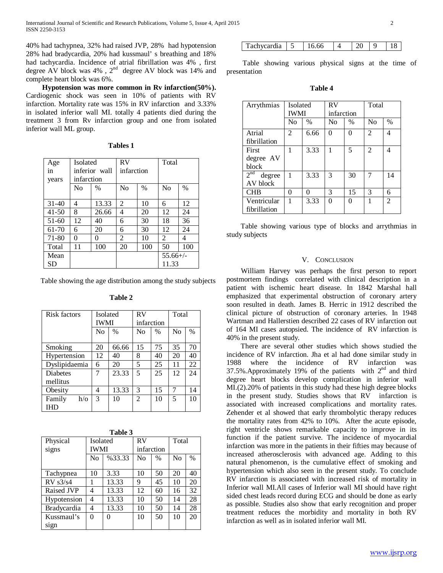40% had tachypnea, 32% had raised JVP, 28% had hypotension 28% had bradycardia, 20% had kussmaul' s breathing and 18% had tachycardia. Incidence of atrial fibrillation was 4% , first degree AV block was  $4\%$ ,  $2^{nd}$  degree AV block was  $14\%$  and complete heart block was 6%.

 **Hypotension was more common in Rv infarction(50%).** Cardiogenic shock was seen in 10% of patients with RV infarction. Mortality rate was 15% in RV infarction and 3.33% in isolated inferior wall MI. totally 4 patients died during the treatment 3 from Rv infarction group and one from isolated inferior wall ML group.

| <b>ables</b> |  |
|--------------|--|
|--------------|--|

| Age       | <b>Isolated</b> |               | RV         |               | Total          |               |
|-----------|-----------------|---------------|------------|---------------|----------------|---------------|
| in        | inferior wall   |               | infarction |               |                |               |
| years     | infarction      |               |            |               |                |               |
|           | No              | $\frac{0}{0}$ | No         | $\frac{0}{0}$ | No             | $\frac{0}{0}$ |
|           |                 |               |            |               |                |               |
| $31-40$   | 4               | 13.33         | 2          | 10            | 6              | 12            |
| $41 - 50$ | 8               | 26.66         | 4          | 20            | 12             | 24            |
| $51-60$   | 12              | 40            | 6          | 30            | 18             | 36            |
| 61-70     | 6               | 20            | 6          | 30            | 12             | 24            |
| 71-80     | 0               | 0             | 2          | 10            | $\mathfrak{D}$ | 4             |
| Total     | 11              | 100           | 20         | 100           | 50             | 100           |
| Mean      |                 |               |            |               | $55.66+/-$     |               |
| SD        |                 |               |            |               | 11.33          |               |

Table showing the age distribution among the study subjects

| <b>Risk factors</b> | <b>Isolated</b> |               | RV             |               | Total |               |
|---------------------|-----------------|---------------|----------------|---------------|-------|---------------|
|                     | IWMI            |               | infarction     |               |       |               |
|                     | N <sub>o</sub>  | $\frac{0}{0}$ | N <sub>0</sub> | $\frac{0}{0}$ | No    | $\frac{0}{0}$ |
|                     |                 |               |                |               |       |               |
| Smoking             | 20              | 66.66         | 15             | 75            | 35    | 70            |
| Hypertension        | 12              | 40            | 8              | 40            | 20    | 40            |
| Dyslipidaemia       | 6               | 20            | 5              | 25            | 11    | 22            |
| <b>Diabetes</b>     | 7               | 23.33         | 5              | 25            | 12    | 24            |
| mellitus            |                 |               |                |               |       |               |
| Obesity             | 4               | 13.33         | 3              | 15            | 7     | 14            |
| Family<br>$h$ /0    | 3               | 10            | 2              | 10            | 5     | 10            |
| <b>IHD</b>          |                 |               |                |               |       |               |

| able |  |
|------|--|
|------|--|

| Table<br>.1 |  |
|-------------|--|
| яt          |  |

| Physical          | Isolated |        | RV         |               | Total          |      |
|-------------------|----------|--------|------------|---------------|----------------|------|
| signs             | IWMI     |        | infarction |               |                |      |
|                   | No       | %33.33 | No         | $\frac{0}{0}$ | N <sub>o</sub> | $\%$ |
|                   |          |        |            |               |                |      |
| Tachypnea         | 10       | 3.33   | 10         | 50            | 20             | 40   |
| RV s3/s4          |          | 13.33  | 9          | 45            | 10             | 20   |
| <b>Raised JVP</b> | 4        | 13.33  | 12         | 60            | 16             | 32   |
| Hypotension       | 4        | 13.33  | 10         | 50            | 14             | 28   |
| Bradycardia       | 4        | 13.33  | 10         | 50            | 14             | 28   |
| Kussmaul's        | 0        | 0      | 10         | 50            | 10             | 20   |
| sign              |          |        |            |               |                |      |

| Tachycardia | 16.66 |  |  |  |  |
|-------------|-------|--|--|--|--|
|-------------|-------|--|--|--|--|

 Table showing various physical signs at the time of presentation

**Table 4**

| Arrythmias                | <b>Isolated</b><br><b>IWMI</b> |               | RV<br>infarction |                   | Total          |                |
|---------------------------|--------------------------------|---------------|------------------|-------------------|----------------|----------------|
|                           | N <sub>0</sub>                 | $\frac{0}{0}$ | No               | $\frac{0}{0}$     | N <sub>0</sub> | $\frac{0}{0}$  |
|                           |                                |               |                  |                   |                |                |
| Atrial                    | $\mathfrak{D}$                 | 6.66          | 0                | 0                 | $\overline{2}$ | 4              |
| fibrillation              |                                |               |                  |                   |                |                |
| First                     | 1                              | 3.33          | 1                | 5                 | $\overline{c}$ | 4              |
| degree AV                 |                                |               |                  |                   |                |                |
| block                     |                                |               |                  |                   |                |                |
| 2 <sup>nd</sup><br>degree | $\mathbf{1}$                   | 3.33          | 3                | 30                | 7              | 14             |
| AV block                  |                                |               |                  |                   |                |                |
| <b>CHB</b>                | 0                              | ∩             | 3                | 15                | 3              | 6              |
| Ventricular               |                                | 3.33          | 0                | $\mathbf{\Omega}$ |                | $\mathfrak{D}$ |
| fibrillation              |                                |               |                  |                   |                |                |

 Table showing various type of blocks and arrythmias in study subjects

## V. CONCLUSION

 William Harvey was perhaps the first person to report postmortem findings correlated with clinical description in a patient with ischemic heart disease. In 1842 Marshal hall emphasized that experimental obstruction of coronary artery soon resulted in death. James B. Herric in 1912 described the clinical picture of obstruction of coronary arteries. In 1948 Wartman and Hallerstien described 22 cases of RV infarction out of 164 MI cases autopsied. The incidence of RV infarction is 40% in the present study.

 There are several other studies which shows studied the incidence of RV infarction. Jha et al had done similar study in 1988 where the incidence of RV infarction was 37.5%. Approximately 19% of the patients with  $2<sup>nd</sup>$  and third degree heart blocks develop complication in inferior wall MI.(2).20% of patients in this study had these high degree blocks in the present study. Studies shows that RV infarction is associated with increased complications and mortality rates. Zehender et al showed that early thrombolytic therapy reduces the mortality rates from 42% to 10%. After the acute episode, right ventricle shows remarkable capacity to improve in its function if the patient survive. The incidence of myocardial infarction was more in the patients in their fifties may because of increased atherosclerosis with advanced age. Adding to this natural phenomenon, is the cumulative effect of smoking and hypertension which also seen in the present study. To conclude RV infarction is associated with increased risk of mortality in Inferior wall MI.All cases of Inferior wall MI should have right sided chest leads record during ECG and should be done as early as possible. Studies also show that early recognition and proper treatment reduces the morbidity and mortality in both RV infarction as well as in isolated inferior wall MI.